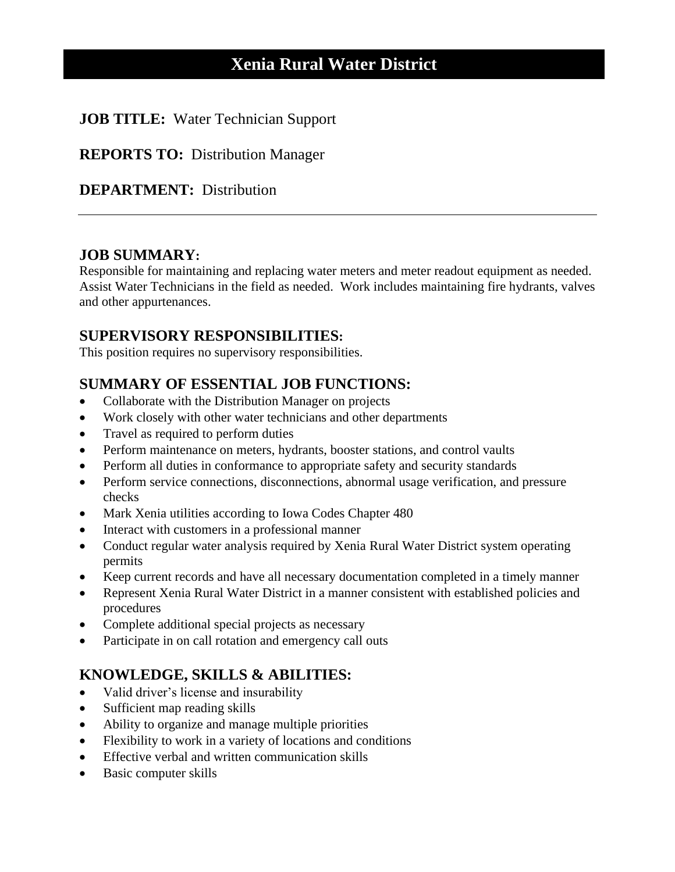# **Xenia Rural Water District**

#### **JOB TITLE:** Water Technician Support

**REPORTS TO:** Distribution Manager

#### **DEPARTMENT:** Distribution

#### **JOB SUMMARY:**

Responsible for maintaining and replacing water meters and meter readout equipment as needed. Assist Water Technicians in the field as needed. Work includes maintaining fire hydrants, valves and other appurtenances.

#### **SUPERVISORY RESPONSIBILITIES:**

This position requires no supervisory responsibilities.

### **SUMMARY OF ESSENTIAL JOB FUNCTIONS:**

- Collaborate with the Distribution Manager on projects
- Work closely with other water technicians and other departments
- Travel as required to perform duties
- Perform maintenance on meters, hydrants, booster stations, and control vaults
- Perform all duties in conformance to appropriate safety and security standards
- Perform service connections, disconnections, abnormal usage verification, and pressure checks
- Mark Xenia utilities according to Iowa Codes Chapter 480
- Interact with customers in a professional manner
- Conduct regular water analysis required by Xenia Rural Water District system operating permits
- Keep current records and have all necessary documentation completed in a timely manner
- Represent Xenia Rural Water District in a manner consistent with established policies and procedures
- Complete additional special projects as necessary
- Participate in on call rotation and emergency call outs

### **KNOWLEDGE, SKILLS & ABILITIES:**

- Valid driver's license and insurability
- Sufficient map reading skills
- Ability to organize and manage multiple priorities
- Flexibility to work in a variety of locations and conditions
- Effective verbal and written communication skills
- Basic computer skills